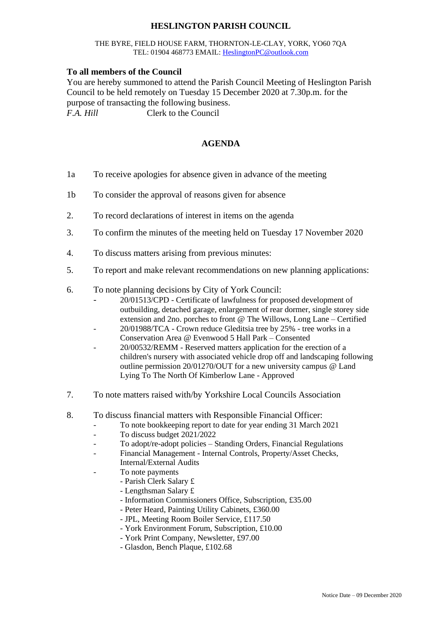## **HESLINGTON PARISH COUNCIL**

## THE BYRE, FIELD HOUSE FARM, THORNTON-LE-CLAY, YORK, YO60 7QA TEL: 01904 468773 EMAIL: [HeslingtonPC@outlook.com](mailto:HeslingtonPC@outlook.com)

## **To all members of the Council**

You are hereby summoned to attend the Parish Council Meeting of Heslington Parish Council to be held remotely on Tuesday 15 December 2020 at 7.30p.m. for the purpose of transacting the following business. *F.A. Hill* Clerk to the Council

## **AGENDA**

- 1a To receive apologies for absence given in advance of the meeting
- 1b To consider the approval of reasons given for absence
- 2. To record declarations of interest in items on the agenda
- 3. To confirm the minutes of the meeting held on Tuesday 17 November 2020
- 4. To discuss matters arising from previous minutes:
- 5. To report and make relevant recommendations on new planning applications:
- 6. To note planning decisions by City of York Council:
	- 20/01513/CPD Certificate of lawfulness for proposed development of outbuilding, detached garage, enlargement of rear dormer, single storey side extension and 2no. porches to front @ The Willows, Long Lane – Certified
	- 20/01988/TCA Crown reduce Gleditsia tree by 25% tree works in a Conservation Area @ Evenwood 5 Hall Park – Consented
	- 20/00532/REMM Reserved matters application for the erection of a children's nursery with associated vehicle drop off and landscaping following outline permission 20/01270/OUT for a new university campus @ Land Lying To The North Of Kimberlow Lane - Approved
- 7. To note matters raised with/by Yorkshire Local Councils Association
- 8. To discuss financial matters with Responsible Financial Officer:
	- To note bookkeeping report to date for year ending 31 March 2021
	- To discuss budget 2021/2022
	- To adopt/re-adopt policies Standing Orders, Financial Regulations
	- Financial Management Internal Controls, Property/Asset Checks, Internal/External Audits
	- To note payments
		- Parish Clerk Salary £
		- Lengthsman Salary £
		- Information Commissioners Office, Subscription, £35.00
		- Peter Heard, Painting Utility Cabinets, £360.00
		- JPL, Meeting Room Boiler Service, £117.50
		- York Environment Forum, Subscription, £10.00
		- York Print Company, Newsletter, £97.00
		- Glasdon, Bench Plaque, £102.68